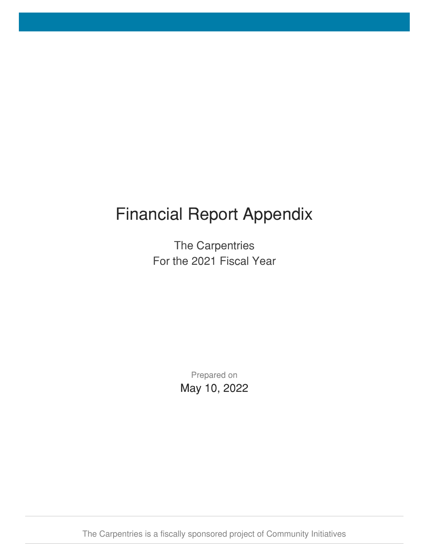# Financial Report Appendix

The Carpentries For the 2021 Fiscal Year

> Prepared on May 10, 2022

The Carpentries is a fiscally sponsored project of Community Initiatives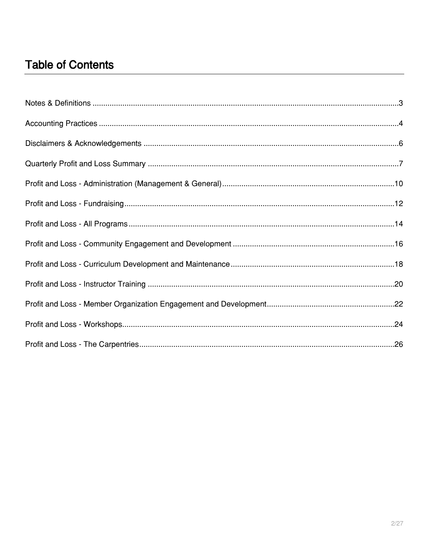#### **Table of Contents**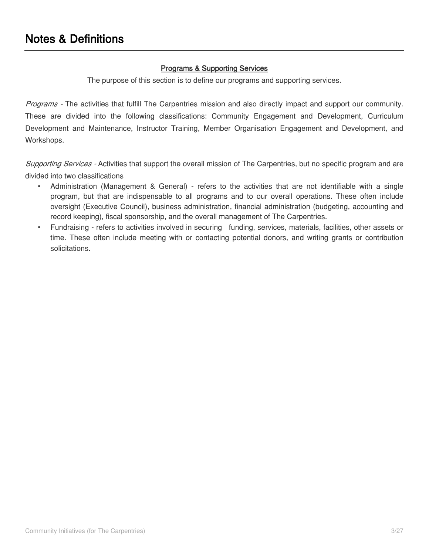#### **Programs & Supporting Services**

The purpose of this section is to define our programs and supporting services.

<span id="page-2-0"></span>*Programs -* The activities that fulfill The Carpentries mission and also directly impact and support our community. These are divided into the following classifications: Community Engagement and Development, Curriculum Development and Maintenance, Instructor Training, Member Organisation Engagement and Development, and Workshops.

*Supporting Services -* Activities that support the overall mission of The Carpentries, but no specific program and are divided into two classifications

- Administration (Management & General) refers to the activities that are not identifiable with a single program, but that are indispensable to all programs and to our overall operations. These often include oversight (Executive Council), business administration, financial administration (budgeting, accounting and record keeping), fiscal sponsorship, and the overall management of The Carpentries.
- Fundraising refers to activities involved in securing funding, services, materials, facilities, other assets or time. These often include meeting with or contacting potential donors, and writing grants or contribution solicitations.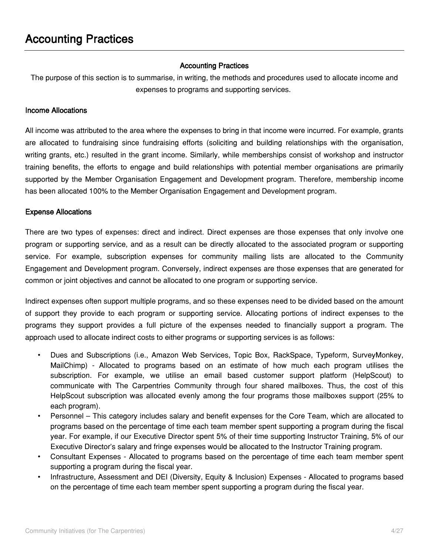#### **Accounting Practices**

<span id="page-3-0"></span>The purpose of this section is to summarise, in writing, the methods and procedures used to allocate income and expenses to programs and supporting services.

#### **Income Allocations**

All income was attributed to the area where the expenses to bring in that income were incurred. For example, grants are allocated to fundraising since fundraising efforts (soliciting and building relationships with the organisation, writing grants, etc.) resulted in the grant income. Similarly, while memberships consist of workshop and instructor training benefits, the efforts to engage and build relationships with potential member organisations are primarily supported by the Member Organisation Engagement and Development program. Therefore, membership income has been allocated 100% to the Member Organisation Engagement and Development program.

#### **Expense Allocations**

There are two types of expenses: direct and indirect. Direct expenses are those expenses that only involve one program or supporting service, and as a result can be directly allocated to the associated program or supporting service. For example, subscription expenses for community mailing lists are allocated to the Community Engagement and Development program. Conversely, indirect expenses are those expenses that are generated for common or joint objectives and cannot be allocated to one program or supporting service.

Indirect expenses often support multiple programs, and so these expenses need to be divided based on the amount of support they provide to each program or supporting service. Allocating portions of indirect expenses to the programs they support provides a full picture of the expenses needed to financially support a program. The approach used to allocate indirect costs to either programs or supporting services is as follows:

- Dues and Subscriptions (i.e., Amazon Web Services, Topic Box, RackSpace, Typeform, SurveyMonkey, MailChimp) - Allocated to programs based on an estimate of how much each program utilises the subscription. For example, we utilise an email based customer support platform (HelpScout) to communicate with The Carpentries Community through four shared mailboxes. Thus, the cost of this HelpScout subscription was allocated evenly among the four programs those mailboxes support (25% to each program).
- Personnel This category includes salary and benefit expenses for the Core Team, which are allocated to programs based on the percentage of time each team member spent supporting a program during the fiscal year. For example, if our Executive Director spent 5% of their time supporting Instructor Training, 5% of our Executive Director's salary and fringe expenses would be allocated to the Instructor Training program.
- Consultant Expenses Allocated to programs based on the percentage of time each team member spent supporting a program during the fiscal year.
- Infrastructure, Assessment and DEI (Diversity, Equity & Inclusion) Expenses Allocated to programs based on the percentage of time each team member spent supporting a program during the fiscal year.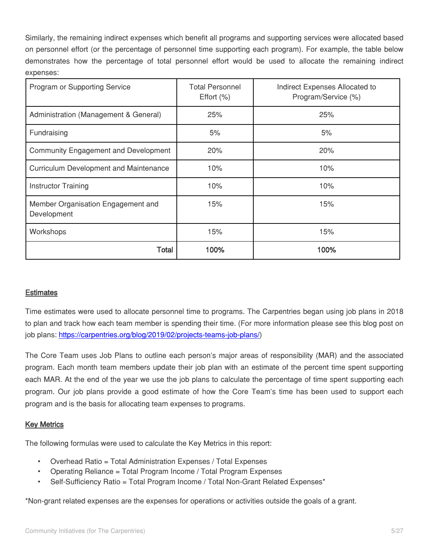Similarly, the remaining indirect expenses which benefit all programs and supporting services were allocated based on personnel effort (or the percentage of personnel time supporting each program). For example, the table below demonstrates how the percentage of total personnel effort would be used to allocate the remaining indirect expenses:

| Program or Supporting Service                     | <b>Total Personnel</b><br>Effort $(\%)$ | Indirect Expenses Allocated to<br>Program/Service (%) |
|---------------------------------------------------|-----------------------------------------|-------------------------------------------------------|
| Administration (Management & General)             | 25%                                     | 25%                                                   |
| Fundraising                                       | 5%                                      | 5%                                                    |
| <b>Community Engagement and Development</b>       | 20%                                     | 20%                                                   |
| <b>Curriculum Development and Maintenance</b>     | 10%                                     | 10%                                                   |
| <b>Instructor Training</b>                        | 10%                                     | 10%                                                   |
| Member Organisation Engagement and<br>Development | 15%                                     | 15%                                                   |
| Workshops                                         | 15%                                     | 15%                                                   |
| Total                                             | 100%                                    | 100%                                                  |

#### **Estimates**

Time estimates were used to allocate personnel time to programs. The Carpentries began using job plans in 2018 to plan and track how each team member is spending their time. (For more information please see this blog post on job plans: [https://carpentries.org/blog/2019/02/projects-teams-job-plans/\)](https://carpentries.org/blog/2019/02/projects-teams-job-plans/)

The Core Team uses Job Plans to outline each person's major areas of responsibility (MAR) and the associated program. Each month team members update their job plan with an estimate of the percent time spent supporting each MAR. At the end of the year we use the job plans to calculate the percentage of time spent supporting each program. Our job plans provide a good estimate of how the Core Team's time has been used to support each program and is the basis for allocating team expenses to programs.

#### **Key Metrics**

The following formulas were used to calculate the Key Metrics in this report:

- Overhead Ratio = Total Administration Expenses / Total Expenses
- Operating Reliance = Total Program Income / Total Program Expenses
- Self-Sufficiency Ratio = Total Program Income / Total Non-Grant Related Expenses<sup>\*</sup>

\*Non-grant related expenses are the expenses for operations or activities outside the goals of a grant.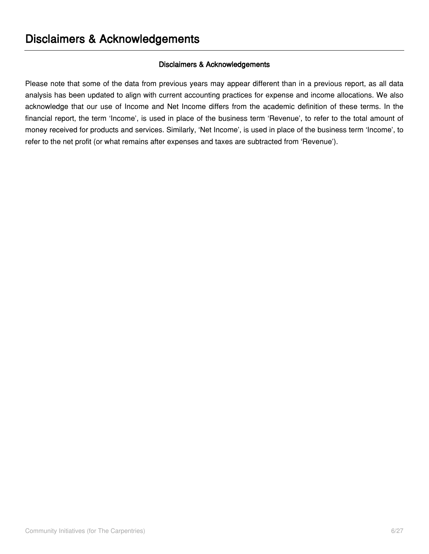#### **Disclaimers & Acknowledgements**

<span id="page-5-0"></span>Please note that some of the data from previous years may appear different than in a previous report, as all data analysis has been updated to align with current accounting practices for expense and income allocations. We also acknowledge that our use of Income and Net Income differs from the academic definition of these terms. In the financial report, the term 'Income', is used in place of the business term 'Revenue', to refer to the total amount of money received for products and services. Similarly, 'Net Income', is used in place of the business term 'Income', to refer to the net profit (or what remains after expenses and taxes are subtracted from 'Revenue').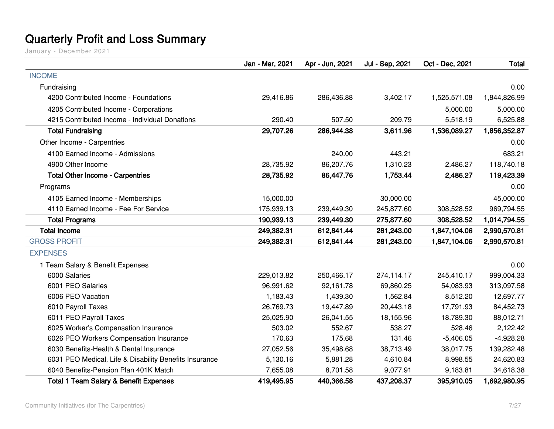### **Quarterly Profit and Loss Summary**

<span id="page-6-0"></span>

|                                                        | Jan - Mar, 2021 | Apr - Jun, 2021 | Jul - Sep, 2021 | Oct - Dec, 2021 | Total        |
|--------------------------------------------------------|-----------------|-----------------|-----------------|-----------------|--------------|
| <b>INCOME</b>                                          |                 |                 |                 |                 |              |
| Fundraising                                            |                 |                 |                 |                 | 0.00         |
| 4200 Contributed Income - Foundations                  | 29,416.86       | 286,436.88      | 3,402.17        | 1,525,571.08    | 1,844,826.99 |
| 4205 Contributed Income - Corporations                 |                 |                 |                 | 5,000.00        | 5,000.00     |
| 4215 Contributed Income - Individual Donations         | 290.40          | 507.50          | 209.79          | 5,518.19        | 6,525.88     |
| <b>Total Fundraising</b>                               | 29,707.26       | 286,944.38      | 3,611.96        | 1,536,089.27    | 1,856,352.87 |
| Other Income - Carpentries                             |                 |                 |                 |                 | 0.00         |
| 4100 Earned Income - Admissions                        |                 | 240.00          | 443.21          |                 | 683.21       |
| 4900 Other Income                                      | 28,735.92       | 86,207.76       | 1,310.23        | 2,486.27        | 118,740.18   |
| <b>Total Other Income - Carpentries</b>                | 28,735.92       | 86,447.76       | 1,753.44        | 2,486.27        | 119,423.39   |
| Programs                                               |                 |                 |                 |                 | 0.00         |
| 4105 Earned Income - Memberships                       | 15,000.00       |                 | 30,000.00       |                 | 45,000.00    |
| 4110 Earned Income - Fee For Service                   | 175,939.13      | 239,449.30      | 245,877.60      | 308,528.52      | 969,794.55   |
| <b>Total Programs</b>                                  | 190,939.13      | 239,449.30      | 275,877.60      | 308,528.52      | 1,014,794.55 |
| <b>Total Income</b>                                    | 249,382.31      | 612,841.44      | 281,243.00      | 1,847,104.06    | 2,990,570.81 |
| <b>GROSS PROFIT</b>                                    | 249,382.31      | 612,841.44      | 281,243.00      | 1,847,104.06    | 2,990,570.81 |
| <b>EXPENSES</b>                                        |                 |                 |                 |                 |              |
| 1 Team Salary & Benefit Expenses                       |                 |                 |                 |                 | 0.00         |
| 6000 Salaries                                          | 229,013.82      | 250,466.17      | 274,114.17      | 245,410.17      | 999,004.33   |
| 6001 PEO Salaries                                      | 96,991.62       | 92,161.78       | 69,860.25       | 54,083.93       | 313,097.58   |
| 6006 PEO Vacation                                      | 1,183.43        | 1,439.30        | 1,562.84        | 8,512.20        | 12,697.77    |
| 6010 Payroll Taxes                                     | 26,769.73       | 19,447.89       | 20,443.18       | 17,791.93       | 84,452.73    |
| 6011 PEO Payroll Taxes                                 | 25,025.90       | 26,041.55       | 18,155.96       | 18,789.30       | 88,012.71    |
| 6025 Worker's Compensation Insurance                   | 503.02          | 552.67          | 538.27          | 528.46          | 2,122.42     |
| 6026 PEO Workers Compensation Insurance                | 170.63          | 175.68          | 131.46          | $-5,406.05$     | $-4,928.28$  |
| 6030 Benefits-Health & Dental Insurance                | 27,052.56       | 35,498.68       | 38,713.49       | 38,017.75       | 139,282.48   |
| 6031 PEO Medical, Life & Disability Benefits Insurance | 5,130.16        | 5,881.28        | 4,610.84        | 8,998.55        | 24,620.83    |
| 6040 Benefits-Pension Plan 401K Match                  | 7,655.08        | 8,701.58        | 9,077.91        | 9,183.81        | 34,618.38    |
| <b>Total 1 Team Salary &amp; Benefit Expenses</b>      | 419,495.95      | 440,366.58      | 437,208.37      | 395,910.05      | 1,692,980.95 |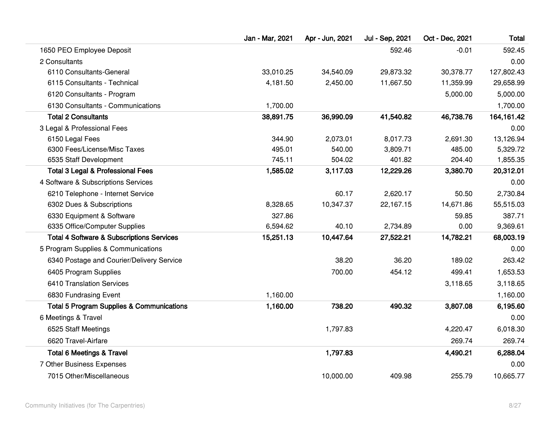|                                                      | Jan - Mar, 2021 | Apr - Jun, 2021 | Jul - Sep, 2021 | Oct - Dec, 2021 | Total      |
|------------------------------------------------------|-----------------|-----------------|-----------------|-----------------|------------|
| 1650 PEO Employee Deposit                            |                 |                 | 592.46          | $-0.01$         | 592.45     |
| 2 Consultants                                        |                 |                 |                 |                 | 0.00       |
| 6110 Consultants-General                             | 33,010.25       | 34,540.09       | 29,873.32       | 30,378.77       | 127,802.43 |
| 6115 Consultants - Technical                         | 4,181.50        | 2,450.00        | 11,667.50       | 11,359.99       | 29,658.99  |
| 6120 Consultants - Program                           |                 |                 |                 | 5,000.00        | 5,000.00   |
| 6130 Consultants - Communications                    | 1,700.00        |                 |                 |                 | 1,700.00   |
| <b>Total 2 Consultants</b>                           | 38,891.75       | 36,990.09       | 41,540.82       | 46,738.76       | 164,161.42 |
| 3 Legal & Professional Fees                          |                 |                 |                 |                 | 0.00       |
| 6150 Legal Fees                                      | 344.90          | 2,073.01        | 8,017.73        | 2,691.30        | 13,126.94  |
| 6300 Fees/License/Misc Taxes                         | 495.01          | 540.00          | 3,809.71        | 485.00          | 5,329.72   |
| 6535 Staff Development                               | 745.11          | 504.02          | 401.82          | 204.40          | 1,855.35   |
| <b>Total 3 Legal &amp; Professional Fees</b>         | 1,585.02        | 3,117.03        | 12,229.26       | 3,380.70        | 20,312.01  |
| 4 Software & Subscriptions Services                  |                 |                 |                 |                 | 0.00       |
| 6210 Telephone - Internet Service                    |                 | 60.17           | 2,620.17        | 50.50           | 2,730.84   |
| 6302 Dues & Subscriptions                            | 8,328.65        | 10,347.37       | 22,167.15       | 14,671.86       | 55,515.03  |
| 6330 Equipment & Software                            | 327.86          |                 |                 | 59.85           | 387.71     |
| 6335 Office/Computer Supplies                        | 6,594.62        | 40.10           | 2,734.89        | 0.00            | 9,369.61   |
| <b>Total 4 Software &amp; Subscriptions Services</b> | 15,251.13       | 10,447.64       | 27,522.21       | 14,782.21       | 68,003.19  |
| 5 Program Supplies & Communications                  |                 |                 |                 |                 | 0.00       |
| 6340 Postage and Courier/Delivery Service            |                 | 38.20           | 36.20           | 189.02          | 263.42     |
| 6405 Program Supplies                                |                 | 700.00          | 454.12          | 499.41          | 1,653.53   |
| 6410 Translation Services                            |                 |                 |                 | 3,118.65        | 3,118.65   |
| 6830 Fundrasing Event                                | 1,160.00        |                 |                 |                 | 1,160.00   |
| <b>Total 5 Program Supplies &amp; Communications</b> | 1,160.00        | 738.20          | 490.32          | 3,807.08        | 6,195.60   |
| 6 Meetings & Travel                                  |                 |                 |                 |                 | 0.00       |
| 6525 Staff Meetings                                  |                 | 1,797.83        |                 | 4,220.47        | 6,018.30   |
| 6620 Travel-Airfare                                  |                 |                 |                 | 269.74          | 269.74     |
| <b>Total 6 Meetings &amp; Travel</b>                 |                 | 1,797.83        |                 | 4,490.21        | 6,288.04   |
| 7 Other Business Expenses                            |                 |                 |                 |                 | 0.00       |
| 7015 Other/Miscellaneous                             |                 | 10,000.00       | 409.98          | 255.79          | 10,665.77  |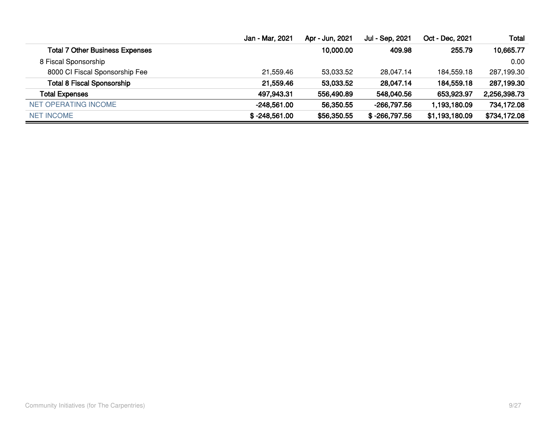|                                        | Jan - Mar, 2021 | Apr - Jun, 2021 | Jul - Sep, 2021 | Oct - Dec, 2021 | <b>Total</b> |
|----------------------------------------|-----------------|-----------------|-----------------|-----------------|--------------|
| <b>Total 7 Other Business Expenses</b> |                 | 10,000.00       | 409.98          | 255.79          | 10,665.77    |
| 8 Fiscal Sponsorship                   |                 |                 |                 |                 | 0.00         |
| 8000 CI Fiscal Sponsorship Fee         | 21,559.46       | 53,033.52       | 28.047.14       | 184.559.18      | 287,199.30   |
| <b>Total 8 Fiscal Sponsorship</b>      | 21,559.46       | 53,033.52       | 28,047.14       | 184,559.18      | 287,199.30   |
| <b>Total Expenses</b>                  | 497,943.31      | 556,490.89      | 548,040.56      | 653,923.97      | 2,256,398.73 |
| NET OPERATING INCOME                   | $-248,561.00$   | 56,350.55       | -266,797.56     | 1,193,180.09    | 734,172.08   |
| <b>NET INCOME</b>                      | $$ -248,561.00$ | \$56,350.55     | $$ -266,797.56$ | \$1,193,180.09  | \$734,172.08 |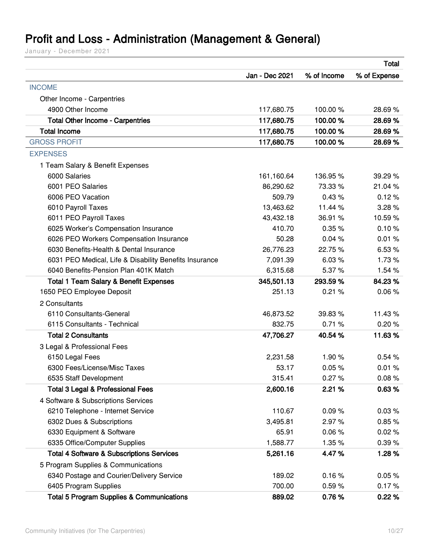### <span id="page-9-0"></span>**Profit and Loss - Administration (Management & General)**

|                                                        |                |             | <b>Total</b> |
|--------------------------------------------------------|----------------|-------------|--------------|
|                                                        | Jan - Dec 2021 | % of Income | % of Expense |
| <b>INCOME</b>                                          |                |             |              |
| Other Income - Carpentries                             |                |             |              |
| 4900 Other Income                                      | 117,680.75     | 100.00%     | 28.69%       |
| <b>Total Other Income - Carpentries</b>                | 117,680.75     | 100.00%     | 28.69%       |
| <b>Total Income</b>                                    | 117,680.75     | 100.00%     | 28.69%       |
| <b>GROSS PROFIT</b>                                    | 117,680.75     | 100.00%     | 28.69%       |
| <b>EXPENSES</b>                                        |                |             |              |
| 1 Team Salary & Benefit Expenses                       |                |             |              |
| 6000 Salaries                                          | 161,160.64     | 136.95%     | 39.29 %      |
| 6001 PEO Salaries                                      | 86,290.62      | 73.33 %     | 21.04%       |
| 6006 PEO Vacation                                      | 509.79         | 0.43%       | 0.12%        |
| 6010 Payroll Taxes                                     | 13,463.62      | 11.44 %     | 3.28%        |
| 6011 PEO Payroll Taxes                                 | 43,432.18      | 36.91 %     | 10.59%       |
| 6025 Worker's Compensation Insurance                   | 410.70         | 0.35%       | 0.10%        |
| 6026 PEO Workers Compensation Insurance                | 50.28          | 0.04%       | 0.01%        |
| 6030 Benefits-Health & Dental Insurance                | 26,776.23      | 22.75 %     | 6.53%        |
| 6031 PEO Medical, Life & Disability Benefits Insurance | 7,091.39       | 6.03%       | 1.73%        |
| 6040 Benefits-Pension Plan 401K Match                  | 6,315.68       | 5.37%       | 1.54 %       |
| <b>Total 1 Team Salary &amp; Benefit Expenses</b>      | 345,501.13     | 293.59 %    | 84.23%       |
| 1650 PEO Employee Deposit                              | 251.13         | 0.21%       | 0.06%        |
| 2 Consultants                                          |                |             |              |
| 6110 Consultants-General                               | 46,873.52      | 39.83 %     | 11.43 %      |
| 6115 Consultants - Technical                           | 832.75         | 0.71%       | 0.20%        |
| <b>Total 2 Consultants</b>                             | 47,706.27      | 40.54 %     | 11.63%       |
| 3 Legal & Professional Fees                            |                |             |              |
| 6150 Legal Fees                                        | 2,231.58       | 1.90%       | 0.54%        |
| 6300 Fees/License/Misc Taxes                           | 53.17          | 0.05%       | 0.01%        |
| 6535 Staff Development                                 | 315.41         | 0.27%       | 0.08%        |
| <b>Total 3 Legal &amp; Professional Fees</b>           | 2,600.16       | 2.21%       | 0.63%        |
| 4 Software & Subscriptions Services                    |                |             |              |
| 6210 Telephone - Internet Service                      | 110.67         | 0.09%       | 0.03%        |
| 6302 Dues & Subscriptions                              | 3,495.81       | 2.97%       | 0.85%        |
| 6330 Equipment & Software                              | 65.91          | 0.06%       | 0.02%        |
| 6335 Office/Computer Supplies                          | 1,588.77       | 1.35%       | 0.39%        |
| <b>Total 4 Software &amp; Subscriptions Services</b>   | 5,261.16       | 4.47%       | 1.28%        |
| 5 Program Supplies & Communications                    |                |             |              |
| 6340 Postage and Courier/Delivery Service              | 189.02         | 0.16%       | 0.05%        |
| 6405 Program Supplies                                  | 700.00         | 0.59%       | 0.17%        |
| <b>Total 5 Program Supplies &amp; Communications</b>   | 889.02         | 0.76%       | 0.22%        |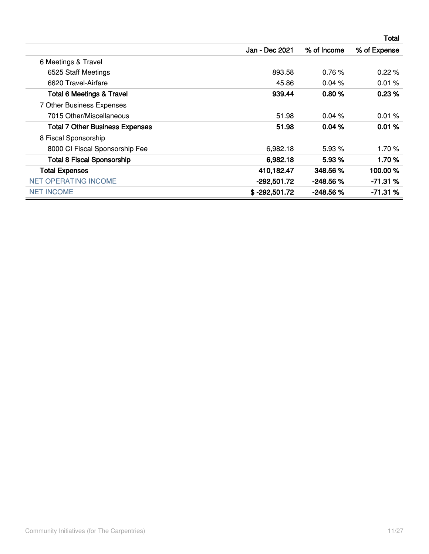|                                        |                 |             | Total        |
|----------------------------------------|-----------------|-------------|--------------|
|                                        | Jan - Dec 2021  | % of Income | % of Expense |
| 6 Meetings & Travel                    |                 |             |              |
| 6525 Staff Meetings                    | 893.58          | 0.76%       | 0.22%        |
| 6620 Travel-Airfare                    | 45.86           | 0.04%       | 0.01%        |
| <b>Total 6 Meetings &amp; Travel</b>   | 939.44          | 0.80%       | 0.23%        |
| 7 Other Business Expenses              |                 |             |              |
| 7015 Other/Miscellaneous               | 51.98           | 0.04%       | 0.01%        |
| <b>Total 7 Other Business Expenses</b> | 51.98           | 0.04%       | 0.01%        |
| 8 Fiscal Sponsorship                   |                 |             |              |
| 8000 CI Fiscal Sponsorship Fee         | 6,982.18        | 5.93 %      | 1.70%        |
| <b>Total 8 Fiscal Sponsorship</b>      | 6,982.18        | 5.93%       | 1.70%        |
| <b>Total Expenses</b>                  | 410,182.47      | 348.56 %    | 100.00%      |
| <b>NET OPERATING INCOME</b>            | $-292,501.72$   | -248.56%    | $-71.31%$    |
| <b>NET INCOME</b>                      | $$ -292,501.72$ | $-248.56%$  | $-71.31%$    |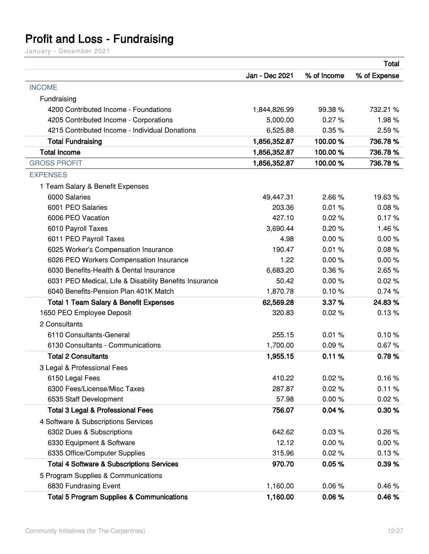### <span id="page-11-0"></span>**Profit and Loss - Fundraising**

|                                                        |                |             | <b>Total</b> |
|--------------------------------------------------------|----------------|-------------|--------------|
|                                                        | Jan - Dec 2021 | % of Income | % of Expense |
| <b>INCOME</b>                                          |                |             |              |
| Fundraising                                            |                |             |              |
| 4200 Contributed Income - Foundations                  | 1,844,826.99   | 99.38%      | 732.21 %     |
| 4205 Contributed Income - Corporations                 | 5,000.00       | 0.27%       | 1.98%        |
| 4215 Contributed Income - Individual Donations         | 6,525.88       | 0.35%       | 2.59%        |
| <b>Total Fundraising</b>                               | 1,856,352.87   | 100.00%     | 736.78%      |
| <b>Total Income</b>                                    | 1,856,352.87   | 100.00%     | 736.78%      |
| <b>GROSS PROFIT</b>                                    | 1,856,352.87   | 100.00%     | 736.78 %     |
| <b>EXPENSES</b>                                        |                |             |              |
| 1 Team Salary & Benefit Expenses                       |                |             |              |
| 6000 Salaries                                          | 49,447.31      | 2.66%       | 19.63%       |
| 6001 PEO Salaries                                      | 203.36         | 0.01%       | 0.08%        |
| 6006 PEO Vacation                                      | 427.10         | 0.02%       | 0.17%        |
| 6010 Payroll Taxes                                     | 3,690.44       | 0.20%       | 1.46%        |
| 6011 PEO Payroll Taxes                                 | 4.98           | 0.00%       | 0.00%        |
| 6025 Worker's Compensation Insurance                   | 190.47         | 0.01%       | 0.08%        |
| 6026 PEO Workers Compensation Insurance                | 1.22           | 0.00%       | 0.00%        |
| 6030 Benefits-Health & Dental Insurance                | 6,683.20       | 0.36%       | 2.65%        |
| 6031 PEO Medical, Life & Disability Benefits Insurance | 50.42          | 0.00%       | 0.02%        |
| 6040 Benefits-Pension Plan 401K Match                  | 1,870.78       | 0.10%       | 0.74%        |
| <b>Total 1 Team Salary &amp; Benefit Expenses</b>      | 62,569.28      | 3.37%       | 24.83%       |
| 1650 PEO Employee Deposit                              | 320.83         | 0.02%       | 0.13%        |
| 2 Consultants                                          |                |             |              |
| 6110 Consultants-General                               | 255.15         | 0.01%       | 0.10%        |
| 6130 Consultants - Communications                      | 1,700.00       | 0.09%       | 0.67%        |
| <b>Total 2 Consultants</b>                             | 1,955.15       | 0.11%       | 0.78%        |
| 3 Legal & Professional Fees                            |                |             |              |
| 6150 Legal Fees                                        | 410.22         | 0.02%       | 0.16%        |
| 6300 Fees/License/Misc Taxes                           | 287.87         | 0.02%       | 0.11%        |
| 6535 Staff Development                                 | 57.98          | 0.00%       | 0.02%        |
| <b>Total 3 Legal &amp; Professional Fees</b>           | 756.07         | 0.04%       | 0.30%        |
| 4 Software & Subscriptions Services                    |                |             |              |
| 6302 Dues & Subscriptions                              | 642.62         | 0.03%       | 0.26%        |
| 6330 Equipment & Software                              | 12.12          | 0.00%       | 0.00%        |
| 6335 Office/Computer Supplies                          | 315.96         | 0.02%       | 0.13%        |
| <b>Total 4 Software &amp; Subscriptions Services</b>   | 970.70         | 0.05%       | 0.39%        |
| 5 Program Supplies & Communications                    |                |             |              |
| 6830 Fundrasing Event                                  | 1,160.00       | 0.06%       | 0.46%        |
| <b>Total 5 Program Supplies &amp; Communications</b>   | 1,160.00       | 0.06%       | 0.46%        |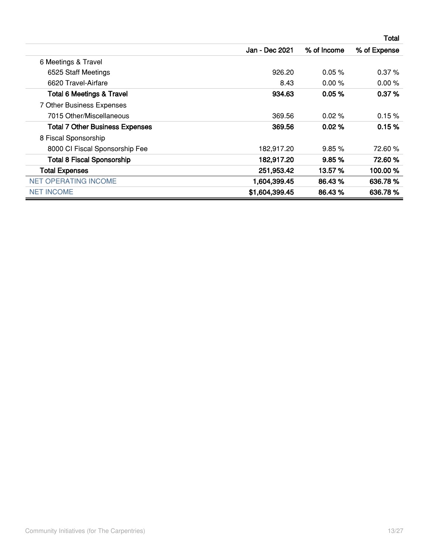|                                        |                |             | <b>Total</b> |
|----------------------------------------|----------------|-------------|--------------|
|                                        | Jan - Dec 2021 | % of Income | % of Expense |
| 6 Meetings & Travel                    |                |             |              |
| 6525 Staff Meetings                    | 926.20         | $0.05 \%$   | 0.37%        |
| 6620 Travel-Airfare                    | 8.43           | 0.00%       | 0.00%        |
| <b>Total 6 Meetings &amp; Travel</b>   | 934.63         | 0.05%       | 0.37%        |
| 7 Other Business Expenses              |                |             |              |
| 7015 Other/Miscellaneous               | 369.56         | $0.02\%$    | 0.15%        |
| <b>Total 7 Other Business Expenses</b> | 369.56         | 0.02%       | 0.15%        |
| 8 Fiscal Sponsorship                   |                |             |              |
| 8000 CI Fiscal Sponsorship Fee         | 182,917.20     | 9.85%       | 72.60%       |
| <b>Total 8 Fiscal Sponsorship</b>      | 182,917.20     | 9.85%       | 72.60%       |
| <b>Total Expenses</b>                  | 251,953.42     | 13.57 %     | 100.00%      |
| <b>NET OPERATING INCOME</b>            | 1,604,399.45   | 86.43%      | 636.78%      |
| <b>NET INCOME</b>                      | \$1,604,399.45 | 86.43 %     | 636.78%      |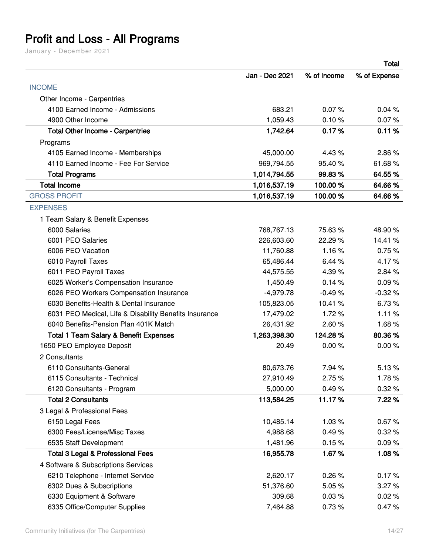# <span id="page-13-0"></span>**Profit and Loss - All Programs**

|                                                        |                |             | <b>Total</b> |
|--------------------------------------------------------|----------------|-------------|--------------|
|                                                        | Jan - Dec 2021 | % of Income | % of Expense |
| <b>INCOME</b>                                          |                |             |              |
| Other Income - Carpentries                             |                |             |              |
| 4100 Earned Income - Admissions                        | 683.21         | 0.07%       | 0.04%        |
| 4900 Other Income                                      | 1,059.43       | 0.10%       | 0.07%        |
| <b>Total Other Income - Carpentries</b>                | 1,742.64       | 0.17%       | 0.11%        |
| Programs                                               |                |             |              |
| 4105 Earned Income - Memberships                       | 45,000.00      | 4.43%       | 2.86%        |
| 4110 Earned Income - Fee For Service                   | 969,794.55     | 95.40%      | 61.68%       |
| <b>Total Programs</b>                                  | 1,014,794.55   | 99.83%      | 64.55%       |
| <b>Total Income</b>                                    | 1,016,537.19   | 100.00%     | 64.66%       |
| <b>GROSS PROFIT</b>                                    | 1,016,537.19   | 100.00%     | 64.66%       |
| <b>EXPENSES</b>                                        |                |             |              |
| 1 Team Salary & Benefit Expenses                       |                |             |              |
| 6000 Salaries                                          | 768,767.13     | 75.63%      | 48.90 %      |
| 6001 PEO Salaries                                      | 226,603.60     | 22.29 %     | 14.41%       |
| 6006 PEO Vacation                                      | 11,760.88      | 1.16%       | 0.75%        |
| 6010 Payroll Taxes                                     | 65,486.44      | 6.44%       | 4.17%        |
| 6011 PEO Payroll Taxes                                 | 44,575.55      | 4.39%       | 2.84%        |
| 6025 Worker's Compensation Insurance                   | 1,450.49       | 0.14%       | 0.09%        |
| 6026 PEO Workers Compensation Insurance                | $-4,979.78$    | $-0.49%$    | $-0.32%$     |
| 6030 Benefits-Health & Dental Insurance                | 105,823.05     | 10.41%      | 6.73%        |
| 6031 PEO Medical, Life & Disability Benefits Insurance | 17,479.02      | 1.72%       | 1.11%        |
| 6040 Benefits-Pension Plan 401K Match                  | 26,431.92      | 2.60%       | 1.68%        |
| <b>Total 1 Team Salary &amp; Benefit Expenses</b>      | 1,263,398.30   | 124.28%     | 80.36%       |
| 1650 PEO Employee Deposit                              | 20.49          | 0.00%       | 0.00%        |
| 2 Consultants                                          |                |             |              |
| 6110 Consultants-General                               | 80,673.76      | 7.94 %      | 5.13%        |
| 6115 Consultants - Technical                           | 27,910.49      | 2.75%       | 1.78%        |
| 6120 Consultants - Program                             | 5,000.00       | 0.49%       | 0.32%        |
| <b>Total 2 Consultants</b>                             | 113,584.25     | 11.17%      | 7.22%        |
| 3 Legal & Professional Fees                            |                |             |              |
| 6150 Legal Fees                                        | 10,485.14      | 1.03%       | 0.67%        |
| 6300 Fees/License/Misc Taxes                           | 4,988.68       | 0.49%       | 0.32%        |
| 6535 Staff Development                                 | 1,481.96       | 0.15%       | 0.09%        |
| <b>Total 3 Legal &amp; Professional Fees</b>           | 16,955.78      | 1.67%       | 1.08%        |
| 4 Software & Subscriptions Services                    |                |             |              |
| 6210 Telephone - Internet Service                      | 2,620.17       | 0.26%       | 0.17%        |
| 6302 Dues & Subscriptions                              | 51,376.60      | 5.05%       | 3.27%        |
| 6330 Equipment & Software                              | 309.68         | 0.03%       | 0.02%        |
| 6335 Office/Computer Supplies                          | 7,464.88       | 0.73%       | 0.47%        |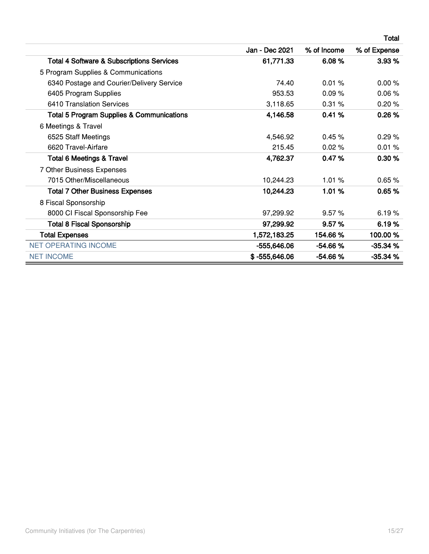|                                                      |                 |             | Total        |
|------------------------------------------------------|-----------------|-------------|--------------|
|                                                      | Jan - Dec 2021  | % of Income | % of Expense |
| <b>Total 4 Software &amp; Subscriptions Services</b> | 61,771.33       | 6.08%       | 3.93%        |
| 5 Program Supplies & Communications                  |                 |             |              |
| 6340 Postage and Courier/Delivery Service            | 74.40           | 0.01%       | 0.00%        |
| 6405 Program Supplies                                | 953.53          | 0.09%       | 0.06%        |
| 6410 Translation Services                            | 3,118.65        | 0.31%       | 0.20%        |
| <b>Total 5 Program Supplies &amp; Communications</b> | 4,146.58        | 0.41%       | 0.26%        |
| 6 Meetings & Travel                                  |                 |             |              |
| 6525 Staff Meetings                                  | 4,546.92        | 0.45%       | 0.29%        |
| 6620 Travel-Airfare                                  | 215.45          | 0.02%       | 0.01%        |
| <b>Total 6 Meetings &amp; Travel</b>                 | 4,762.37        | 0.47%       | 0.30%        |
| 7 Other Business Expenses                            |                 |             |              |
| 7015 Other/Miscellaneous                             | 10,244.23       | 1.01%       | 0.65%        |
| <b>Total 7 Other Business Expenses</b>               | 10,244.23       | 1.01%       | 0.65%        |
| 8 Fiscal Sponsorship                                 |                 |             |              |
| 8000 CI Fiscal Sponsorship Fee                       | 97,299.92       | 9.57%       | 6.19%        |
| <b>Total 8 Fiscal Sponsorship</b>                    | 97,299.92       | 9.57%       | 6.19%        |
| <b>Total Expenses</b>                                | 1,572,183.25    | 154.66%     | 100.00%      |
| <b>NET OPERATING INCOME</b>                          | $-555,646.06$   | $-54.66%$   | $-35.34%$    |
| <b>NET INCOME</b>                                    | $$ -555,646.06$ | $-54.66%$   | $-35.34%$    |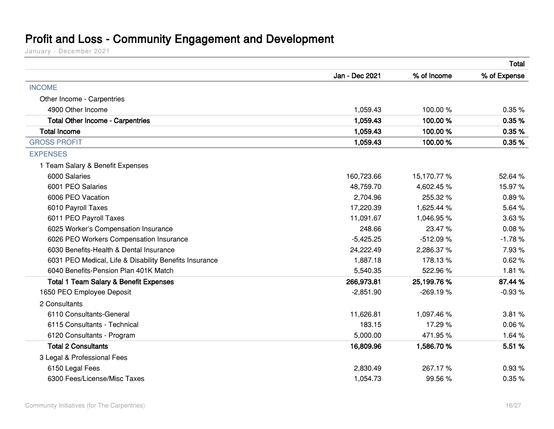### **Profit and Loss - Community Engagement and Development**

<span id="page-15-0"></span>

|                                                        |                |             | <b>Total</b> |
|--------------------------------------------------------|----------------|-------------|--------------|
|                                                        | Jan - Dec 2021 | % of Income | % of Expense |
| <b>INCOME</b>                                          |                |             |              |
| Other Income - Carpentries                             |                |             |              |
| 4900 Other Income                                      | 1,059.43       | 100.00%     | 0.35%        |
| <b>Total Other Income - Carpentries</b>                | 1,059.43       | 100.00%     | 0.35%        |
| <b>Total Income</b>                                    | 1,059.43       | 100.00%     | 0.35%        |
| <b>GROSS PROFIT</b>                                    | 1,059.43       | 100.00%     | 0.35%        |
| <b>EXPENSES</b>                                        |                |             |              |
| 1 Team Salary & Benefit Expenses                       |                |             |              |
| 6000 Salaries                                          | 160,723.66     | 15,170.77%  | 52.64%       |
| 6001 PEO Salaries                                      | 48,759.70      | 4,602.45%   | 15.97%       |
| 6006 PEO Vacation                                      | 2,704.96       | 255.32 %    | 0.89%        |
| 6010 Payroll Taxes                                     | 17,220.39      | 1,625.44 %  | 5.64%        |
| 6011 PEO Payroll Taxes                                 | 11,091.67      | 1,046.95%   | 3.63%        |
| 6025 Worker's Compensation Insurance                   | 248.66         | 23.47%      | 0.08%        |
| 6026 PEO Workers Compensation Insurance                | $-5,425.25$    | $-512.09%$  | $-1.78%$     |
| 6030 Benefits-Health & Dental Insurance                | 24,222.49      | 2,286.37%   | 7.93%        |
| 6031 PEO Medical, Life & Disability Benefits Insurance | 1,887.18       | 178.13%     | 0.62%        |
| 6040 Benefits-Pension Plan 401K Match                  | 5,540.35       | 522.96%     | 1.81%        |
| <b>Total 1 Team Salary &amp; Benefit Expenses</b>      | 266,973.81     | 25,199.76 % | 87.44 %      |
| 1650 PEO Employee Deposit                              | $-2,851.90$    | $-269.19%$  | $-0.93%$     |
| 2 Consultants                                          |                |             |              |
| 6110 Consultants-General                               | 11,626.81      | 1,097.46%   | 3.81%        |
| 6115 Consultants - Technical                           | 183.15         | 17.29 %     | 0.06%        |
| 6120 Consultants - Program                             | 5,000.00       | 471.95%     | 1.64%        |
| <b>Total 2 Consultants</b>                             | 16,809.96      | 1,586.70 %  | 5.51 %       |
| 3 Legal & Professional Fees                            |                |             |              |
| 6150 Legal Fees                                        | 2,830.49       | 267.17%     | 0.93%        |
| 6300 Fees/License/Misc Taxes                           | 1,054.73       | 99.56 %     | 0.35%        |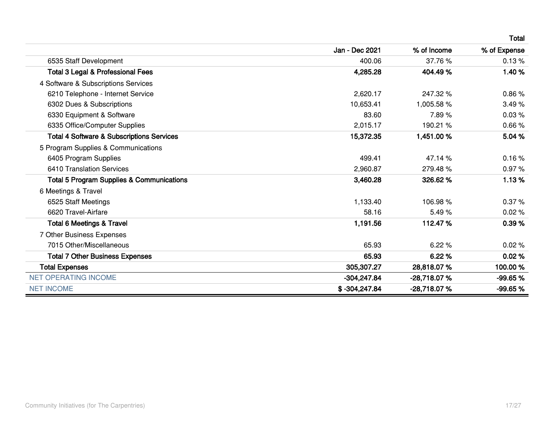|                                                      |                 |               | Total        |
|------------------------------------------------------|-----------------|---------------|--------------|
|                                                      | Jan - Dec 2021  | % of Income   | % of Expense |
| 6535 Staff Development                               | 400.06          | 37.76 %       | 0.13%        |
| <b>Total 3 Legal &amp; Professional Fees</b>         | 4,285.28        | 404.49%       | 1.40%        |
| 4 Software & Subscriptions Services                  |                 |               |              |
| 6210 Telephone - Internet Service                    | 2,620.17        | 247.32 %      | 0.86%        |
| 6302 Dues & Subscriptions                            | 10.653.41       | 1,005.58 %    | 3.49%        |
| 6330 Equipment & Software                            | 83.60           | 7.89%         | 0.03%        |
| 6335 Office/Computer Supplies                        | 2,015.17        | 190.21 %      | 0.66%        |
| <b>Total 4 Software &amp; Subscriptions Services</b> | 15,372.35       | 1,451.00 %    | 5.04 %       |
| 5 Program Supplies & Communications                  |                 |               |              |
| 6405 Program Supplies                                | 499.41          | 47.14 %       | 0.16%        |
| 6410 Translation Services                            | 2,960.87        | 279.48%       | 0.97%        |
| <b>Total 5 Program Supplies &amp; Communications</b> | 3,460.28        | 326.62%       | 1.13%        |
| 6 Meetings & Travel                                  |                 |               |              |
| 6525 Staff Meetings                                  | 1,133.40        | 106.98%       | 0.37%        |
| 6620 Travel-Airfare                                  | 58.16           | 5.49%         | 0.02%        |
| <b>Total 6 Meetings &amp; Travel</b>                 | 1,191.56        | 112.47%       | 0.39%        |
| 7 Other Business Expenses                            |                 |               |              |
| 7015 Other/Miscellaneous                             | 65.93           | 6.22%         | 0.02%        |
| <b>Total 7 Other Business Expenses</b>               | 65.93           | 6.22%         | 0.02%        |
| <b>Total Expenses</b>                                | 305,307.27      | 28,818.07%    | 100.00%      |
| <b>NET OPERATING INCOME</b>                          | $-304,247.84$   | -28,718.07%   | -99.65 %     |
| <b>NET INCOME</b>                                    | $$ -304,247.84$ | $-28,718.07%$ | -99.65%      |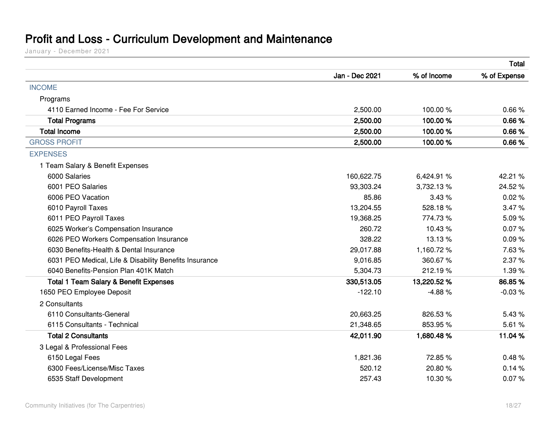### **Profit and Loss - Curriculum Development and Maintenance**

<span id="page-17-0"></span>

|                                                        |                |             | <b>Total</b> |
|--------------------------------------------------------|----------------|-------------|--------------|
|                                                        | Jan - Dec 2021 | % of Income | % of Expense |
| <b>INCOME</b>                                          |                |             |              |
| Programs                                               |                |             |              |
| 4110 Earned Income - Fee For Service                   | 2,500.00       | 100.00%     | 0.66%        |
| <b>Total Programs</b>                                  | 2,500.00       | 100.00%     | 0.66%        |
| <b>Total Income</b>                                    | 2,500.00       | 100.00%     | 0.66%        |
| <b>GROSS PROFIT</b>                                    | 2,500.00       | 100.00%     | 0.66%        |
| <b>EXPENSES</b>                                        |                |             |              |
| 1 Team Salary & Benefit Expenses                       |                |             |              |
| 6000 Salaries                                          | 160,622.75     | 6,424.91 %  | 42.21 %      |
| 6001 PEO Salaries                                      | 93,303.24      | 3,732.13%   | 24.52%       |
| 6006 PEO Vacation                                      | 85.86          | 3.43%       | 0.02%        |
| 6010 Payroll Taxes                                     | 13,204.55      | 528.18%     | 3.47%        |
| 6011 PEO Payroll Taxes                                 | 19,368.25      | 774.73%     | 5.09%        |
| 6025 Worker's Compensation Insurance                   | 260.72         | 10.43 %     | 0.07%        |
| 6026 PEO Workers Compensation Insurance                | 328.22         | 13.13 %     | 0.09%        |
| 6030 Benefits-Health & Dental Insurance                | 29,017.88      | 1,160.72%   | 7.63%        |
| 6031 PEO Medical, Life & Disability Benefits Insurance | 9,016.85       | 360.67%     | 2.37%        |
| 6040 Benefits-Pension Plan 401K Match                  | 5,304.73       | 212.19%     | 1.39%        |
| <b>Total 1 Team Salary &amp; Benefit Expenses</b>      | 330,513.05     | 13,220.52 % | 86.85%       |
| 1650 PEO Employee Deposit                              | $-122.10$      | $-4.88%$    | $-0.03%$     |
| 2 Consultants                                          |                |             |              |
| 6110 Consultants-General                               | 20,663.25      | 826.53%     | 5.43%        |
| 6115 Consultants - Technical                           | 21,348.65      | 853.95%     | 5.61%        |
| <b>Total 2 Consultants</b>                             | 42,011.90      | 1,680.48%   | 11.04 %      |
| 3 Legal & Professional Fees                            |                |             |              |
| 6150 Legal Fees                                        | 1,821.36       | 72.85%      | 0.48%        |
| 6300 Fees/License/Misc Taxes                           | 520.12         | 20.80%      | 0.14%        |
| 6535 Staff Development                                 | 257.43         | 10.30%      | 0.07%        |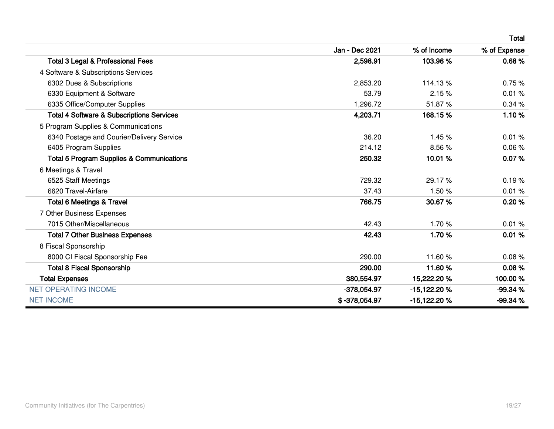|                                                      |                |               | Total        |
|------------------------------------------------------|----------------|---------------|--------------|
|                                                      | Jan - Dec 2021 | % of Income   | % of Expense |
| <b>Total 3 Legal &amp; Professional Fees</b>         | 2,598.91       | 103.96%       | 0.68%        |
| 4 Software & Subscriptions Services                  |                |               |              |
| 6302 Dues & Subscriptions                            | 2,853.20       | 114.13%       | 0.75%        |
| 6330 Equipment & Software                            | 53.79          | 2.15%         | 0.01%        |
| 6335 Office/Computer Supplies                        | 1,296.72       | 51.87%        | 0.34%        |
| <b>Total 4 Software &amp; Subscriptions Services</b> | 4,203.71       | 168.15%       | 1.10%        |
| 5 Program Supplies & Communications                  |                |               |              |
| 6340 Postage and Courier/Delivery Service            | 36.20          | 1.45%         | 0.01%        |
| 6405 Program Supplies                                | 214.12         | 8.56%         | 0.06%        |
| <b>Total 5 Program Supplies &amp; Communications</b> | 250.32         | 10.01%        | 0.07%        |
| 6 Meetings & Travel                                  |                |               |              |
| 6525 Staff Meetings                                  | 729.32         | 29.17%        | 0.19%        |
| 6620 Travel-Airfare                                  | 37.43          | 1.50%         | 0.01%        |
| <b>Total 6 Meetings &amp; Travel</b>                 | 766.75         | 30.67%        | 0.20%        |
| 7 Other Business Expenses                            |                |               |              |
| 7015 Other/Miscellaneous                             | 42.43          | 1.70%         | 0.01%        |
| <b>Total 7 Other Business Expenses</b>               | 42.43          | 1.70%         | 0.01%        |
| 8 Fiscal Sponsorship                                 |                |               |              |
| 8000 CI Fiscal Sponsorship Fee                       | 290.00         | 11.60%        | 0.08%        |
| <b>Total 8 Fiscal Sponsorship</b>                    | 290.00         | 11.60%        | 0.08%        |
| <b>Total Expenses</b>                                | 380,554.97     | 15,222.20 %   | 100.00%      |
| <b>NET OPERATING INCOME</b>                          | $-378,054.97$  | $-15,122.20%$ | -99.34 %     |
| <b>NET INCOME</b>                                    | \$-378,054.97  | -15,122.20%   | -99.34 %     |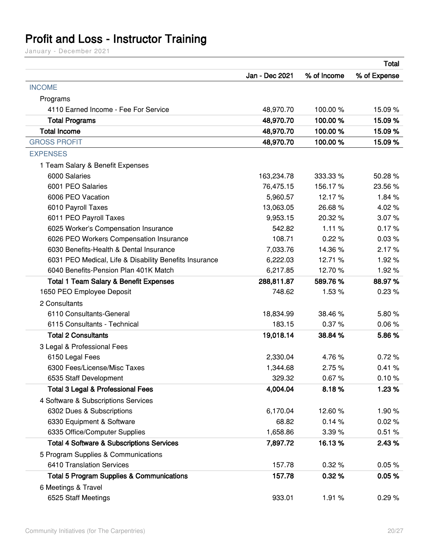## <span id="page-19-0"></span>**Profit and Loss - Instructor Training**

|                                                        |                | <b>Total</b> |              |
|--------------------------------------------------------|----------------|--------------|--------------|
|                                                        | Jan - Dec 2021 | % of Income  | % of Expense |
| <b>INCOME</b>                                          |                |              |              |
| Programs                                               |                |              |              |
| 4110 Earned Income - Fee For Service                   | 48,970.70      | 100.00%      | 15.09 %      |
| <b>Total Programs</b>                                  | 48,970.70      | 100.00%      | 15.09 %      |
| <b>Total Income</b>                                    | 48,970.70      | 100.00%      | 15.09 %      |
| <b>GROSS PROFIT</b>                                    | 48,970.70      | 100.00%      | 15.09 %      |
| <b>EXPENSES</b>                                        |                |              |              |
| 1 Team Salary & Benefit Expenses                       |                |              |              |
| 6000 Salaries                                          | 163,234.78     | 333.33 %     | 50.28 %      |
| 6001 PEO Salaries                                      | 76,475.15      | 156.17%      | 23.56 %      |
| 6006 PEO Vacation                                      | 5,960.57       | 12.17%       | 1.84%        |
| 6010 Payroll Taxes                                     | 13,063.05      | 26.68%       | 4.02%        |
| 6011 PEO Payroll Taxes                                 | 9,953.15       | 20.32 %      | 3.07%        |
| 6025 Worker's Compensation Insurance                   | 542.82         | 1.11%        | 0.17%        |
| 6026 PEO Workers Compensation Insurance                | 108.71         | 0.22%        | 0.03%        |
| 6030 Benefits-Health & Dental Insurance                | 7,033.76       | 14.36%       | 2.17%        |
| 6031 PEO Medical, Life & Disability Benefits Insurance | 6,222.03       | 12.71 %      | 1.92%        |
| 6040 Benefits-Pension Plan 401K Match                  | 6,217.85       | 12.70%       | 1.92%        |
| <b>Total 1 Team Salary &amp; Benefit Expenses</b>      | 288,811.87     | 589.76%      | 88.97%       |
| 1650 PEO Employee Deposit                              | 748.62         | 1.53%        | 0.23%        |
| 2 Consultants                                          |                |              |              |
| 6110 Consultants-General                               | 18,834.99      | 38.46%       | 5.80%        |
| 6115 Consultants - Technical                           | 183.15         | 0.37%        | 0.06%        |
| <b>Total 2 Consultants</b>                             | 19,018.14      | 38.84 %      | 5.86%        |
| 3 Legal & Professional Fees                            |                |              |              |
| 6150 Legal Fees                                        | 2,330.04       | 4.76%        | 0.72%        |
| 6300 Fees/License/Misc Taxes                           | 1,344.68       | 2.75%        | 0.41%        |
| 6535 Staff Development                                 | 329.32         | 0.67%        | 0.10%        |
| <b>Total 3 Legal &amp; Professional Fees</b>           | 4,004.04       | 8.18%        | 1.23%        |
| 4 Software & Subscriptions Services                    |                |              |              |
| 6302 Dues & Subscriptions                              | 6,170.04       | 12.60%       | 1.90%        |
| 6330 Equipment & Software                              | 68.82          | 0.14%        | 0.02%        |
| 6335 Office/Computer Supplies                          | 1,658.86       | 3.39%        | 0.51%        |
| <b>Total 4 Software &amp; Subscriptions Services</b>   | 7,897.72       | 16.13%       | 2.43 %       |
| 5 Program Supplies & Communications                    |                |              |              |
| 6410 Translation Services                              | 157.78         | 0.32%        | 0.05%        |
| <b>Total 5 Program Supplies &amp; Communications</b>   | 157.78         | 0.32%        | 0.05%        |
| 6 Meetings & Travel                                    |                |              |              |
| 6525 Staff Meetings                                    | 933.01         | 1.91%        | 0.29%        |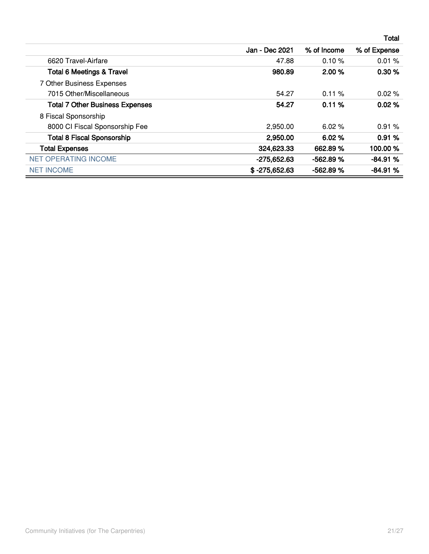|                                        |                 |             | <b>Total</b> |
|----------------------------------------|-----------------|-------------|--------------|
|                                        | Jan - Dec 2021  | % of Income | % of Expense |
| 6620 Travel-Airfare                    | 47.88           | 0.10%       | 0.01%        |
| <b>Total 6 Meetings &amp; Travel</b>   | 980.89          | 2.00%       | 0.30%        |
| 7 Other Business Expenses              |                 |             |              |
| 7015 Other/Miscellaneous               | 54.27           | $0.11 \%$   | $0.02\%$     |
| <b>Total 7 Other Business Expenses</b> | 54.27           | 0.11%       | 0.02%        |
| 8 Fiscal Sponsorship                   |                 |             |              |
| 8000 CI Fiscal Sponsorship Fee         | 2,950.00        | 6.02%       | 0.91%        |
| <b>Total 8 Fiscal Sponsorship</b>      | 2,950.00        | 6.02%       | 0.91%        |
| <b>Total Expenses</b>                  | 324,623.33      | 662.89%     | 100.00 %     |
| <b>NET OPERATING INCOME</b>            | -275,652.63     | $-562.89%$  | $-84.91%$    |
| <b>NET INCOME</b>                      | $$ -275,652.63$ | $-562.89%$  | $-84.91%$    |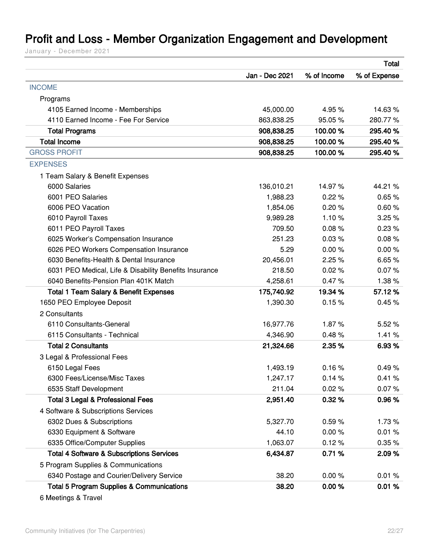### <span id="page-21-0"></span>**Profit and Loss - Member Organization Engagement and Development**

|                                                        |                |             | <b>Total</b> |
|--------------------------------------------------------|----------------|-------------|--------------|
|                                                        | Jan - Dec 2021 | % of Income | % of Expense |
| <b>INCOME</b>                                          |                |             |              |
| Programs                                               |                |             |              |
| 4105 Earned Income - Memberships                       | 45,000.00      | 4.95 %      | 14.63%       |
| 4110 Earned Income - Fee For Service                   | 863,838.25     | 95.05%      | 280.77%      |
| <b>Total Programs</b>                                  | 908,838.25     | 100.00%     | 295.40 %     |
| <b>Total Income</b>                                    | 908,838.25     | 100.00%     | 295.40%      |
| <b>GROSS PROFIT</b>                                    | 908,838.25     | 100.00%     | 295.40 %     |
| <b>EXPENSES</b>                                        |                |             |              |
| 1 Team Salary & Benefit Expenses                       |                |             |              |
| 6000 Salaries                                          | 136,010.21     | 14.97%      | 44.21 %      |
| 6001 PEO Salaries                                      | 1,988.23       | 0.22%       | 0.65%        |
| 6006 PEO Vacation                                      | 1,854.06       | 0.20%       | 0.60%        |
| 6010 Payroll Taxes                                     | 9,989.28       | 1.10%       | 3.25%        |
| 6011 PEO Payroll Taxes                                 | 709.50         | 0.08%       | 0.23%        |
| 6025 Worker's Compensation Insurance                   | 251.23         | 0.03%       | 0.08%        |
| 6026 PEO Workers Compensation Insurance                | 5.29           | 0.00%       | 0.00%        |
| 6030 Benefits-Health & Dental Insurance                | 20,456.01      | 2.25%       | 6.65%        |
| 6031 PEO Medical, Life & Disability Benefits Insurance | 218.50         | 0.02%       | 0.07%        |
| 6040 Benefits-Pension Plan 401K Match                  | 4,258.61       | 0.47%       | 1.38%        |
| <b>Total 1 Team Salary &amp; Benefit Expenses</b>      | 175,740.92     | 19.34 %     | 57.12%       |
| 1650 PEO Employee Deposit                              | 1,390.30       | 0.15%       | 0.45%        |
| 2 Consultants                                          |                |             |              |
| 6110 Consultants-General                               | 16,977.76      | 1.87%       | 5.52%        |
| 6115 Consultants - Technical                           | 4,346.90       | 0.48%       | 1.41%        |
| <b>Total 2 Consultants</b>                             | 21,324.66      | 2.35%       | 6.93 %       |
| 3 Legal & Professional Fees                            |                |             |              |
| 6150 Legal Fees                                        | 1,493.19       | 0.16%       | 0.49%        |
| 6300 Fees/License/Misc Taxes                           | 1,247.17       | 0.14%       | 0.41%        |
| 6535 Staff Development                                 | 211.04         | 0.02%       | 0.07%        |
| <b>Total 3 Legal &amp; Professional Fees</b>           | 2,951.40       | 0.32%       | 0.96%        |
| 4 Software & Subscriptions Services                    |                |             |              |
| 6302 Dues & Subscriptions                              | 5,327.70       | 0.59%       | 1.73%        |
| 6330 Equipment & Software                              | 44.10          | 0.00%       | 0.01%        |
| 6335 Office/Computer Supplies                          | 1,063.07       | 0.12%       | 0.35%        |
| <b>Total 4 Software &amp; Subscriptions Services</b>   | 6,434.87       | 0.71%       | 2.09%        |
| 5 Program Supplies & Communications                    |                |             |              |
| 6340 Postage and Courier/Delivery Service              | 38.20          | 0.00%       | 0.01%        |
| <b>Total 5 Program Supplies &amp; Communications</b>   | 38.20          | 0.00%       | 0.01%        |
| 6 Meetings & Travel                                    |                |             |              |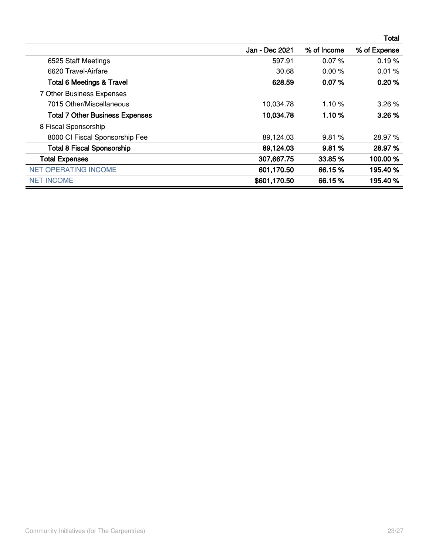|                                        |                |             | Total        |
|----------------------------------------|----------------|-------------|--------------|
|                                        | Jan - Dec 2021 | % of Income | % of Expense |
| 6525 Staff Meetings                    | 597.91         | 0.07%       | 0.19%        |
| 6620 Travel-Airfare                    | 30.68          | $0.00\%$    | 0.01%        |
| <b>Total 6 Meetings &amp; Travel</b>   | 628.59         | 0.07%       | 0.20%        |
| 7 Other Business Expenses              |                |             |              |
| 7015 Other/Miscellaneous               | 10,034.78      | 1.10%       | 3.26%        |
| <b>Total 7 Other Business Expenses</b> | 10,034.78      | 1.10%       | 3.26%        |
| 8 Fiscal Sponsorship                   |                |             |              |
| 8000 CI Fiscal Sponsorship Fee         | 89,124.03      | 9.81%       | 28.97%       |
| <b>Total 8 Fiscal Sponsorship</b>      | 89,124.03      | 9.81%       | 28.97%       |
| <b>Total Expenses</b>                  | 307,667.75     | 33.85 %     | 100.00%      |
| <b>NET OPERATING INCOME</b>            | 601,170.50     | 66.15%      | 195.40%      |
| <b>NET INCOME</b>                      | \$601,170.50   | 66.15 %     | 195.40 %     |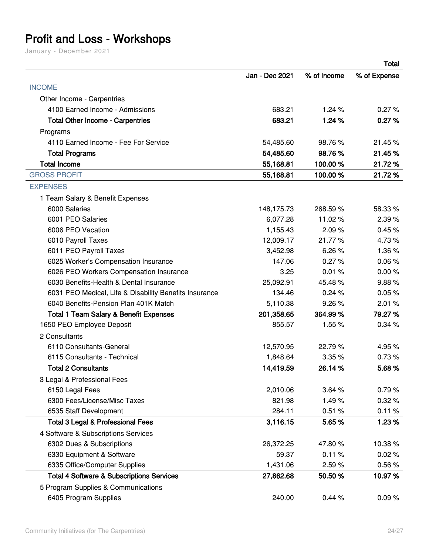### <span id="page-23-0"></span>**Profit and Loss - Workshops**

|                                                        |                |             | <b>Total</b> |
|--------------------------------------------------------|----------------|-------------|--------------|
|                                                        | Jan - Dec 2021 | % of Income | % of Expense |
| <b>INCOME</b>                                          |                |             |              |
| Other Income - Carpentries                             |                |             |              |
| 4100 Earned Income - Admissions                        | 683.21         | 1.24%       | 0.27%        |
| <b>Total Other Income - Carpentries</b>                | 683.21         | 1.24 %      | 0.27%        |
| Programs                                               |                |             |              |
| 4110 Earned Income - Fee For Service                   | 54,485.60      | 98.76%      | 21.45 %      |
| <b>Total Programs</b>                                  | 54,485.60      | 98.76%      | 21.45%       |
| <b>Total Income</b>                                    | 55,168.81      | 100.00%     | 21.72%       |
| <b>GROSS PROFIT</b>                                    | 55,168.81      | 100.00%     | 21.72%       |
| <b>EXPENSES</b>                                        |                |             |              |
| 1 Team Salary & Benefit Expenses                       |                |             |              |
| 6000 Salaries                                          | 148,175.73     | 268.59%     | 58.33 %      |
| 6001 PEO Salaries                                      | 6,077.28       | 11.02%      | 2.39%        |
| 6006 PEO Vacation                                      | 1,155.43       | 2.09%       | 0.45%        |
| 6010 Payroll Taxes                                     | 12,009.17      | 21.77%      | 4.73%        |
| 6011 PEO Payroll Taxes                                 | 3,452.98       | 6.26%       | 1.36%        |
| 6025 Worker's Compensation Insurance                   | 147.06         | 0.27%       | 0.06%        |
| 6026 PEO Workers Compensation Insurance                | 3.25           | 0.01%       | 0.00%        |
| 6030 Benefits-Health & Dental Insurance                | 25,092.91      | 45.48%      | 9.88%        |
| 6031 PEO Medical, Life & Disability Benefits Insurance | 134.46         | 0.24%       | 0.05%        |
| 6040 Benefits-Pension Plan 401K Match                  | 5,110.38       | 9.26%       | 2.01%        |
| <b>Total 1 Team Salary &amp; Benefit Expenses</b>      | 201,358.65     | 364.99%     | 79.27 %      |
| 1650 PEO Employee Deposit                              | 855.57         | 1.55%       | 0.34%        |
| 2 Consultants                                          |                |             |              |
| 6110 Consultants-General                               | 12,570.95      | 22.79%      | 4.95%        |
| 6115 Consultants - Technical                           | 1,848.64       | 3.35%       | 0.73%        |
| <b>Total 2 Consultants</b>                             | 14,419.59      | 26.14%      | 5.68%        |
| 3 Legal & Professional Fees                            |                |             |              |
| 6150 Legal Fees                                        | 2,010.06       | 3.64%       | 0.79%        |
| 6300 Fees/License/Misc Taxes                           | 821.98         | 1.49%       | 0.32%        |
| 6535 Staff Development                                 | 284.11         | 0.51%       | 0.11%        |
| <b>Total 3 Legal &amp; Professional Fees</b>           | 3,116.15       | 5.65%       | 1.23 %       |
| 4 Software & Subscriptions Services                    |                |             |              |
| 6302 Dues & Subscriptions                              | 26,372.25      | 47.80%      | 10.38%       |
| 6330 Equipment & Software                              | 59.37          | 0.11%       | 0.02%        |
| 6335 Office/Computer Supplies                          | 1,431.06       | 2.59%       | 0.56%        |
| <b>Total 4 Software &amp; Subscriptions Services</b>   | 27,862.68      | 50.50 %     | 10.97%       |
| 5 Program Supplies & Communications                    |                |             |              |
| 6405 Program Supplies                                  | 240.00         | 0.44%       | 0.09%        |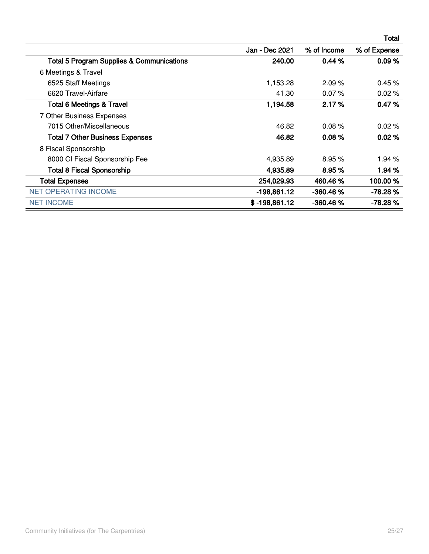|                                                      |                 |             | <b>Total</b> |
|------------------------------------------------------|-----------------|-------------|--------------|
|                                                      | Jan - Dec 2021  | % of Income | % of Expense |
| <b>Total 5 Program Supplies &amp; Communications</b> | 240.00          | 0.44%       | 0.09%        |
| 6 Meetings & Travel                                  |                 |             |              |
| 6525 Staff Meetings                                  | 1,153.28        | 2.09%       | 0.45%        |
| 6620 Travel-Airfare                                  | 41.30           | $0.07\%$    | 0.02%        |
| <b>Total 6 Meetings &amp; Travel</b>                 | 1,194.58        | 2.17%       | 0.47%        |
| 7 Other Business Expenses                            |                 |             |              |
| 7015 Other/Miscellaneous                             | 46.82           | 0.08%       | 0.02%        |
| <b>Total 7 Other Business Expenses</b>               | 46.82           | 0.08%       | 0.02%        |
| 8 Fiscal Sponsorship                                 |                 |             |              |
| 8000 CI Fiscal Sponsorship Fee                       | 4,935.89        | 8.95%       | 1.94 %       |
| <b>Total 8 Fiscal Sponsorship</b>                    | 4,935.89        | 8.95%       | 1.94 %       |
| <b>Total Expenses</b>                                | 254,029.93      | 460.46 %    | 100.00%      |
| <b>NET OPERATING INCOME</b>                          | -198,861.12     | $-360.46%$  | $-78.28%$    |
| <b>NET INCOME</b>                                    | $$ -198,861.12$ | $-360.46%$  | $-78.28%$    |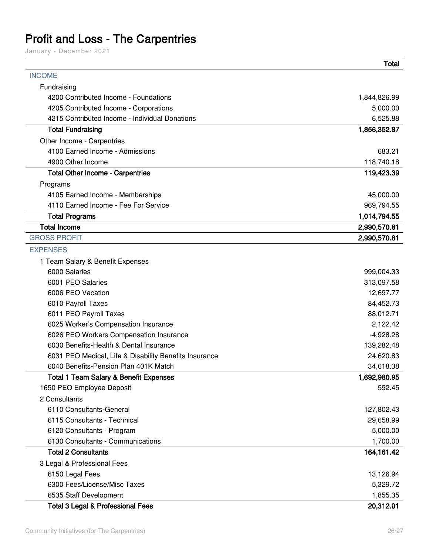### <span id="page-25-0"></span>**Profit and Loss - The Carpentries**

January - December 2021

|                                                        | Total        |
|--------------------------------------------------------|--------------|
| <b>INCOME</b>                                          |              |
| Fundraising                                            |              |
| 4200 Contributed Income - Foundations                  | 1,844,826.99 |
| 4205 Contributed Income - Corporations                 | 5,000.00     |
| 4215 Contributed Income - Individual Donations         | 6,525.88     |
| <b>Total Fundraising</b>                               | 1,856,352.87 |
| Other Income - Carpentries                             |              |
| 4100 Earned Income - Admissions                        | 683.21       |
| 4900 Other Income                                      | 118,740.18   |
| <b>Total Other Income - Carpentries</b>                | 119,423.39   |
| Programs                                               |              |
| 4105 Earned Income - Memberships                       | 45,000.00    |
| 4110 Earned Income - Fee For Service                   | 969,794.55   |
| <b>Total Programs</b>                                  | 1,014,794.55 |
| <b>Total Income</b>                                    | 2,990,570.81 |
| <b>GROSS PROFIT</b>                                    | 2,990,570.81 |
| <b>EXPENSES</b>                                        |              |
| 1 Team Salary & Benefit Expenses                       |              |
| 6000 Salaries                                          | 999,004.33   |
| 6001 PEO Salaries                                      | 313,097.58   |
| 6006 PEO Vacation                                      | 12,697.77    |
| 6010 Payroll Taxes                                     | 84,452.73    |
| 6011 PEO Payroll Taxes                                 | 88,012.71    |
| 6025 Worker's Compensation Insurance                   | 2,122.42     |
| 6026 PEO Workers Compensation Insurance                | $-4,928.28$  |
| 6030 Benefits-Health & Dental Insurance                | 139,282.48   |
| 6031 PEO Medical, Life & Disability Benefits Insurance | 24,620.83    |
| 6040 Benefits-Pension Plan 401K Match                  | 34,618.38    |
| <b>Total 1 Team Salary &amp; Benefit Expenses</b>      | 1,692,980.95 |
| 1650 PEO Employee Deposit                              | 592.45       |
| 2 Consultants                                          |              |
| 6110 Consultants-General                               | 127,802.43   |
| 6115 Consultants - Technical                           | 29,658.99    |
| 6120 Consultants - Program                             | 5,000.00     |
| 6130 Consultants - Communications                      | 1,700.00     |
| <b>Total 2 Consultants</b>                             | 164,161.42   |
| 3 Legal & Professional Fees                            |              |
| 6150 Legal Fees                                        | 13,126.94    |
| 6300 Fees/License/Misc Taxes                           | 5,329.72     |
| 6535 Staff Development                                 | 1,855.35     |
| <b>Total 3 Legal &amp; Professional Fees</b>           | 20,312.01    |

 $\overline{\phantom{a}}$